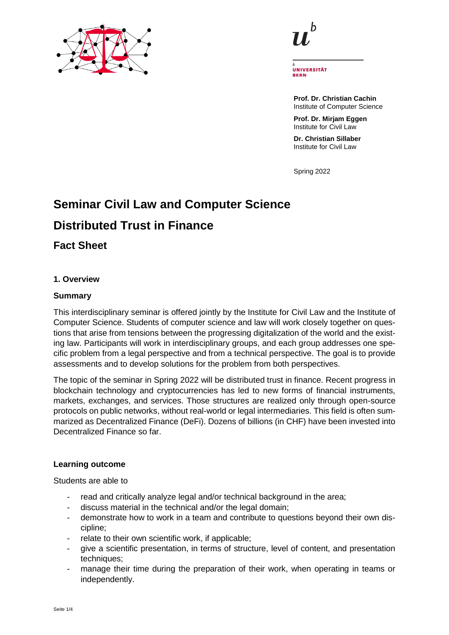



UNIVERSITÄT REDN

**Prof. Dr. Christian Cachin** Institute of Computer Science

**Prof. Dr. Mirjam Eggen** Institute for Civil Law

**Dr. Christian Sillaber** Institute for Civil Law

Spring 2022

# **Seminar Civil Law and Computer Science**

# **Distributed Trust in Finance**

**Fact Sheet**

# **1. Overview**

# **Summary**

This interdisciplinary seminar is offered jointly by the Institute for Civil Law and the Institute of Computer Science. Students of computer science and law will work closely together on questions that arise from tensions between the progressing digitalization of the world and the existing law. Participants will work in interdisciplinary groups, and each group addresses one specific problem from a legal perspective and from a technical perspective. The goal is to provide assessments and to develop solutions for the problem from both perspectives.

The topic of the seminar in Spring 2022 will be distributed trust in finance. Recent progress in blockchain technology and cryptocurrencies has led to new forms of financial instruments, markets, exchanges, and services. Those structures are realized only through open-source protocols on public networks, without real-world or legal intermediaries. This field is often summarized as Decentralized Finance (DeFi). Dozens of billions (in CHF) have been invested into Decentralized Finance so far.

# **Learning outcome**

Students are able to

- read and critically analyze legal and/or technical background in the area;
- discuss material in the technical and/or the legal domain;
- demonstrate how to work in a team and contribute to questions beyond their own discipline;
- relate to their own scientific work, if applicable;
- give a scientific presentation, in terms of structure, level of content, and presentation techniques:
- manage their time during the preparation of their work, when operating in teams or independently.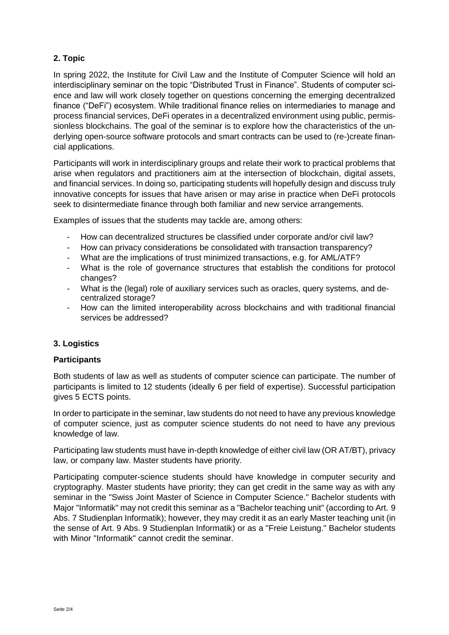# **2. Topic**

In spring 2022, the Institute for Civil Law and the Institute of Computer Science will hold an interdisciplinary seminar on the topic "Distributed Trust in Finance". Students of computer science and law will work closely together on questions concerning the emerging decentralized finance ("DeFi") ecosystem. While traditional finance relies on intermediaries to manage and process financial services, DeFi operates in a decentralized environment using public, permissionless blockchains. The goal of the seminar is to explore how the characteristics of the underlying open-source software protocols and smart contracts can be used to (re-)create financial applications.

Participants will work in interdisciplinary groups and relate their work to practical problems that arise when regulators and practitioners aim at the intersection of blockchain, digital assets, and financial services. In doing so, participating students will hopefully design and discuss truly innovative concepts for issues that have arisen or may arise in practice when DeFi protocols seek to disintermediate finance through both familiar and new service arrangements.

Examples of issues that the students may tackle are, among others:

- How can decentralized structures be classified under corporate and/or civil law?
- How can privacy considerations be consolidated with transaction transparency?
- What are the implications of trust minimized transactions, e.g. for AML/ATF?
- What is the role of governance structures that establish the conditions for protocol changes?
- What is the (legal) role of auxiliary services such as oracles, query systems, and decentralized storage?
- How can the limited interoperability across blockchains and with traditional financial services be addressed?

# **3. Logistics**

#### **Participants**

Both students of law as well as students of computer science can participate. The number of participants is limited to 12 students (ideally 6 per field of expertise). Successful participation gives 5 ECTS points.

In order to participate in the seminar, law students do not need to have any previous knowledge of computer science, just as computer science students do not need to have any previous knowledge of law.

Participating law students must have in-depth knowledge of either civil law (OR AT/BT), privacy law, or company law. Master students have priority.

Participating computer-science students should have knowledge in computer security and cryptography. Master students have priority; they can get credit in the same way as with any seminar in the "Swiss Joint Master of Science in Computer Science." Bachelor students with Major "Informatik" may not credit this seminar as a "Bachelor teaching unit" (according to Art. 9 Abs. 7 Studienplan Informatik); however, they may credit it as an early Master teaching unit (in the sense of Art. 9 Abs. 9 Studienplan Informatik) or as a "Freie Leistung." Bachelor students with Minor "Informatik" cannot credit the seminar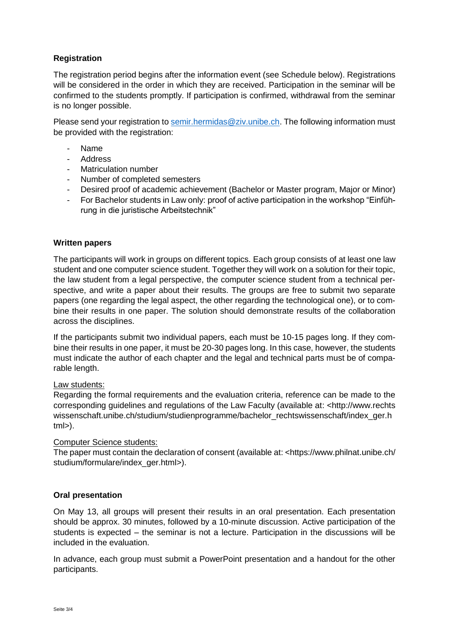# **Registration**

The registration period begins after the information event (see Schedule below). Registrations will be considered in the order in which they are received. Participation in the seminar will be confirmed to the students promptly. If participation is confirmed, withdrawal from the seminar is no longer possible.

Please send your registration to [semir.hermidas@ziv.unibe.ch.](mailto:semir.hermidas@ziv.unibe.ch) The following information must be provided with the registration:

- Name
- Address
- Matriculation number
- Number of completed semesters
- Desired proof of academic achievement (Bachelor or Master program, Major or Minor)
- For Bachelor students in Law only: proof of active participation in the workshop "Einführung in die juristische Arbeitstechnik"

#### **Written papers**

The participants will work in groups on different topics. Each group consists of at least one law student and one computer science student. Together they will work on a solution for their topic, the law student from a legal perspective, the computer science student from a technical perspective, and write a paper about their results. The groups are free to submit two separate papers (one regarding the legal aspect, the other regarding the technological one), or to combine their results in one paper. The solution should demonstrate results of the collaboration across the disciplines.

If the participants submit two individual papers, each must be 10-15 pages long. If they combine their results in one paper, it must be 20-30 pages long. In this case, however, the students must indicate the author of each chapter and the legal and technical parts must be of comparable length.

#### Law students:

Regarding the formal requirements and the evaluation criteria, reference can be made to the corresponding guidelines and regulations of the Law Faculty (available at: <http://www.rechts wissenschaft.unibe.ch/studium/studienprogramme/bachelor\_rechtswissenschaft/index\_ger.h  $tml$ ).

#### Computer Science students:

The paper must contain the declaration of consent (available at: <https://www.philnat.unibe.ch/ studium/formulare/index\_ger.html>).

#### **Oral presentation**

On May 13, all groups will present their results in an oral presentation. Each presentation should be approx. 30 minutes, followed by a 10-minute discussion. Active participation of the students is expected – the seminar is not a lecture. Participation in the discussions will be included in the evaluation.

In advance, each group must submit a PowerPoint presentation and a handout for the other participants.